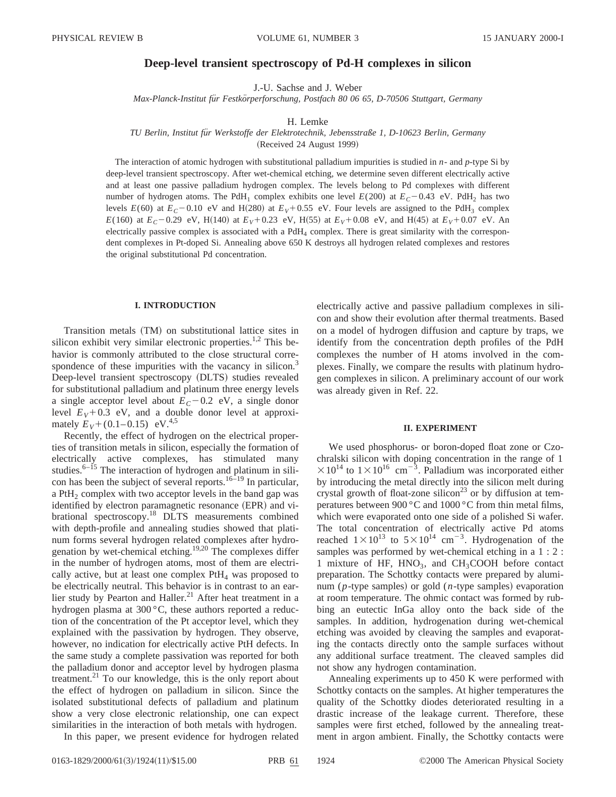# **Deep-level transient spectroscopy of Pd-H complexes in silicon**

J.-U. Sachse and J. Weber

*Max-Planck-Institut fu¨r Festko¨rperforschung, Postfach 80 06 65, D-70506 Stuttgart, Germany*

### H. Lemke

## *TU Berlin, Institut fu¨r Werkstoffe der Elektrotechnik, Jebensstraße 1, D-10623 Berlin, Germany*

(Received 24 August 1999)

The interaction of atomic hydrogen with substitutional palladium impurities is studied in *n*- and *p*-type Si by deep-level transient spectroscopy. After wet-chemical etching, we determine seven different electrically active and at least one passive palladium hydrogen complex. The levels belong to Pd complexes with different number of hydrogen atoms. The PdH<sub>1</sub> complex exhibits one level  $E(200)$  at  $E<sub>C</sub> - 0.43$  eV. PdH<sub>2</sub> has two levels  $E(60)$  at  $E_C$  – 0.10 eV and H(280) at  $E_V$  + 0.55 eV. Four levels are assigned to the PdH<sub>3</sub> complex *E*(160) at  $E_C$ –0.29 eV, H(140) at  $E_V$ +0.23 eV, H(55) at  $E_V$ +0.08 eV, and H(45) at  $E_V$ +0.07 eV. An electrically passive complex is associated with a  $PdH_4$  complex. There is great similarity with the correspondent complexes in Pt-doped Si. Annealing above 650 K destroys all hydrogen related complexes and restores the original substitutional Pd concentration.

### **I. INTRODUCTION**

Transition metals (TM) on substitutional lattice sites in silicon exhibit very similar electronic properties.<sup>1,2</sup> This behavior is commonly attributed to the close structural correspondence of these impurities with the vacancy in silicon.<sup>3</sup> Deep-level transient spectroscopy (DLTS) studies revealed for substitutional palladium and platinum three energy levels a single acceptor level about  $E_C$ –0.2 eV, a single donor level  $E_V + 0.3$  eV, and a double donor level at approximately  $E_V + (0.1 - 0.15)$  eV.<sup>4,5</sup>

Recently, the effect of hydrogen on the electrical properties of transition metals in silicon, especially the formation of electrically active complexes, has stimulated many studies. $6-15$  The interaction of hydrogen and platinum in silicon has been the subject of several reports.<sup>16–19</sup> In particular, a PtH<sub>2</sub> complex with two acceptor levels in the band gap was identified by electron paramagnetic resonance (EPR) and vibrational spectroscopy.<sup>18</sup> DLTS measurements combined with depth-profile and annealing studies showed that platinum forms several hydrogen related complexes after hydrogenation by wet-chemical etching.19,20 The complexes differ in the number of hydrogen atoms, most of them are electrically active, but at least one complex  $PtH<sub>4</sub>$  was proposed to be electrically neutral. This behavior is in contrast to an earlier study by Pearton and Haller.<sup>21</sup> After heat treatment in a hydrogen plasma at 300 °C, these authors reported a reduction of the concentration of the Pt acceptor level, which they explained with the passivation by hydrogen. They observe, however, no indication for electrically active PtH defects. In the same study a complete passivation was reported for both the palladium donor and acceptor level by hydrogen plasma treatment. $^{21}$  To our knowledge, this is the only report about the effect of hydrogen on palladium in silicon. Since the isolated substitutional defects of palladium and platinum show a very close electronic relationship, one can expect similarities in the interaction of both metals with hydrogen.

In this paper, we present evidence for hydrogen related

electrically active and passive palladium complexes in silicon and show their evolution after thermal treatments. Based on a model of hydrogen diffusion and capture by traps, we identify from the concentration depth profiles of the PdH complexes the number of H atoms involved in the complexes. Finally, we compare the results with platinum hydrogen complexes in silicon. A preliminary account of our work was already given in Ref. 22.

### **II. EXPERIMENT**

We used phosphorus- or boron-doped float zone or Czochralski silicon with doping concentration in the range of 1  $\times 10^{14}$  to  $1\times 10^{16}$  cm<sup>-3</sup>. Palladium was incorporated either by introducing the metal directly into the silicon melt during crystal growth of float-zone silicon<sup>23</sup> or by diffusion at temperatures between 900 °C and 1000 °C from thin metal films, which were evaporated onto one side of a polished Si wafer. The total concentration of electrically active Pd atoms reached  $1 \times 10^{13}$  to  $5 \times 10^{14}$  cm<sup>-3</sup>. Hydrogenation of the samples was performed by wet-chemical etching in a  $1:2:$ 1 mixture of HF,  $HNO<sub>3</sub>$ , and  $CH<sub>3</sub>COOH$  before contact preparation. The Schottky contacts were prepared by aluminum (*p*-type samples) or gold (*n*-type samples) evaporation at room temperature. The ohmic contact was formed by rubbing an eutectic InGa alloy onto the back side of the samples. In addition, hydrogenation during wet-chemical etching was avoided by cleaving the samples and evaporating the contacts directly onto the sample surfaces without any additional surface treatment. The cleaved samples did not show any hydrogen contamination.

Annealing experiments up to 450 K were performed with Schottky contacts on the samples. At higher temperatures the quality of the Schottky diodes deteriorated resulting in a drastic increase of the leakage current. Therefore, these samples were first etched, followed by the annealing treatment in argon ambient. Finally, the Schottky contacts were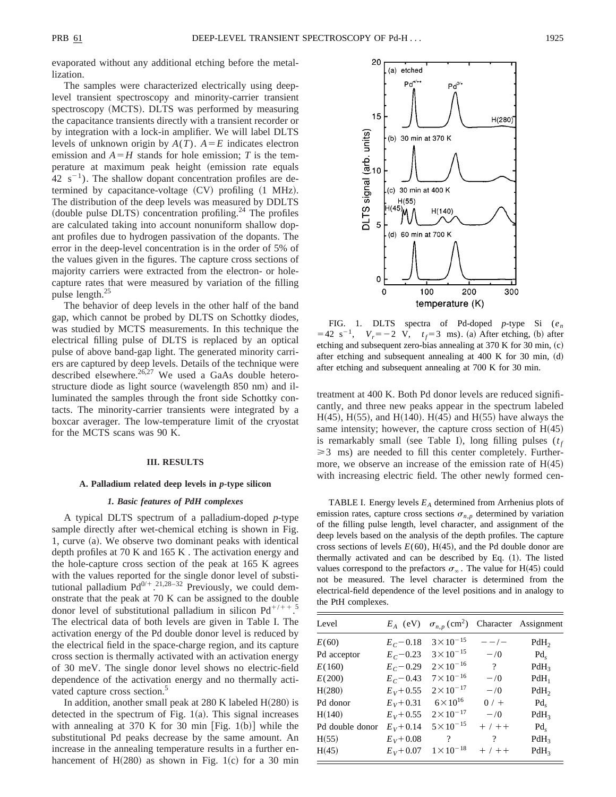evaporated without any additional etching before the metallization.

The samples were characterized electrically using deeplevel transient spectroscopy and minority-carrier transient spectroscopy (MCTS). DLTS was performed by measuring the capacitance transients directly with a transient recorder or by integration with a lock-in amplifier. We will label DLTS levels of unknown origin by  $A(T)$ .  $A = E$  indicates electron emission and  $A = H$  stands for hole emission; *T* is the temperature at maximum peak height (emission rate equals  $42 \text{ s}^{-1}$ ). The shallow dopant concentration profiles are determined by capacitance-voltage  $(CV)$  profiling  $(1 \text{ MHz}).$ The distribution of the deep levels was measured by DDLTS (double pulse DLTS) concentration profiling.<sup>24</sup> The profiles are calculated taking into account nonuniform shallow dopant profiles due to hydrogen passivation of the dopants. The error in the deep-level concentration is in the order of 5% of the values given in the figures. The capture cross sections of majority carriers were extracted from the electron- or holecapture rates that were measured by variation of the filling pulse length. $^{25}$ 

The behavior of deep levels in the other half of the band gap, which cannot be probed by DLTS on Schottky diodes, was studied by MCTS measurements. In this technique the electrical filling pulse of DLTS is replaced by an optical pulse of above band-gap light. The generated minority carriers are captured by deep levels. Details of the technique were described elsewhere.<sup>26,27</sup> We used a GaAs double heterostructure diode as light source (wavelength  $850$  nm) and illuminated the samples through the front side Schottky contacts. The minority-carrier transients were integrated by a boxcar averager. The low-temperature limit of the cryostat for the MCTS scans was 90 K.

#### **III. RESULTS**

#### **A. Palladium related deep levels in** *p***-type silicon**

#### *1. Basic features of PdH complexes*

A typical DLTS spectrum of a palladium-doped *p*-type sample directly after wet-chemical etching is shown in Fig. 1, curve (a). We observe two dominant peaks with identical depth profiles at 70 K and 165 K . The activation energy and the hole-capture cross section of the peak at 165 K agrees with the values reported for the single donor level of substitutional palladium  $Pd^{0/+}$ .<sup>21,28-32</sup> Previously, we could demonstrate that the peak at 70 K can be assigned to the double donor level of substitutional palladium in silicon  $Pd^{+/++}$ .<sup>5</sup> The electrical data of both levels are given in Table I. The activation energy of the Pd double donor level is reduced by the electrical field in the space-charge region, and its capture cross section is thermally activated with an activation energy of 30 meV. The single donor level shows no electric-field dependence of the activation energy and no thermally activated capture cross section.<sup>5</sup>

In addition, another small peak at  $280$  K labeled  $H(280)$  is detected in the spectrum of Fig.  $1(a)$ . This signal increases with annealing at 370 K for 30 min [Fig. 1(b)] while the substitutional Pd peaks decrease by the same amount. An increase in the annealing temperature results in a further enhancement of  $H(280)$  as shown in Fig. 1(c) for a 30 min



FIG. 1. DLTS spectra of Pd-doped *p*-type Si (*en*  $=42$  s<sup>-1</sup>,  $V_r = -2$  V,  $t_f = 3$  ms). (a) After etching, (b) after etching and subsequent zero-bias annealing at  $370$  K for  $30$  min,  $(c)$ after etching and subsequent annealing at  $400 \text{ K}$  for  $30 \text{ min}$ , (d) after etching and subsequent annealing at 700 K for 30 min.

treatment at 400 K. Both Pd donor levels are reduced significantly, and three new peaks appear in the spectrum labeled  $H(45)$ ,  $H(55)$ , and  $H(140)$ .  $H(45)$  and  $H(55)$  have always the same intensity; however, the capture cross section of  $H(45)$ is remarkably small (see Table I), long filling pulses  $(t_f)$  $\geq$  3 ms) are needed to fill this center completely. Furthermore, we observe an increase of the emission rate of  $H(45)$ with increasing electric field. The other newly formed cen-

TABLE I. Energy levels *EA* determined from Arrhenius plots of emission rates, capture cross sections  $\sigma_{n,p}$  determined by variation of the filling pulse length, level character, and assignment of the deep levels based on the analysis of the depth profiles. The capture cross sections of levels  $E(60)$ , H(45), and the Pd double donor are thermally activated and can be described by Eq.  $(1)$ . The listed values correspond to the prefactors  $\sigma_{\infty}$ . The value for H(45) could not be measured. The level character is determined from the electrical-field dependence of the level positions and in analogy to the PtH complexes.

| Level           | $E_A$ (eV)   | $\sigma_{n,p}$ (cm <sup>2</sup> ) |                | Character Assignment |
|-----------------|--------------|-----------------------------------|----------------|----------------------|
| E(60)           | $E_C - 0.18$ | $3 \times 10^{-15}$               | $- - / -$      | PdH <sub>2</sub>     |
| Pd acceptor     | $E_C - 0.23$ | $3 \times 10^{-15}$               | $-1/0$         | $Pd_{s}$             |
| E(160)          | $E_C - 0.29$ | $2 \times 10^{-16}$               | $\overline{?}$ | $PdH_3$              |
| E(200)          | $E_C = 0.43$ | $7 \times 10^{-16}$               | $-1/0$         | $PdH_1$              |
| H(280)          | $E_V + 0.55$ | $2 \times 10^{-17}$               | $-\sqrt{0}$    | PdH <sub>2</sub>     |
| Pd donor        | $E_V + 0.31$ | $6 \times 10^{16}$                | $0/ +$         | $Pd_{s}$             |
| H(140)          | $E_V + 0.55$ | $2 \times 10^{-17}$               | $-1/0$         | $PdH_3$              |
| Pd double donor | $E_V + 0.14$ | $5 \times 10^{-15}$               | $+ / + +$      | $Pd_{s}$             |
| H(55)           | $E_V + 0.08$ | $\gamma$                          | $\gamma$       | $PdH_3$              |
| H(45)           | $E_V + 0.07$ | $1 \times 10^{-18}$               | $+ / + +$      | $PdH_3$              |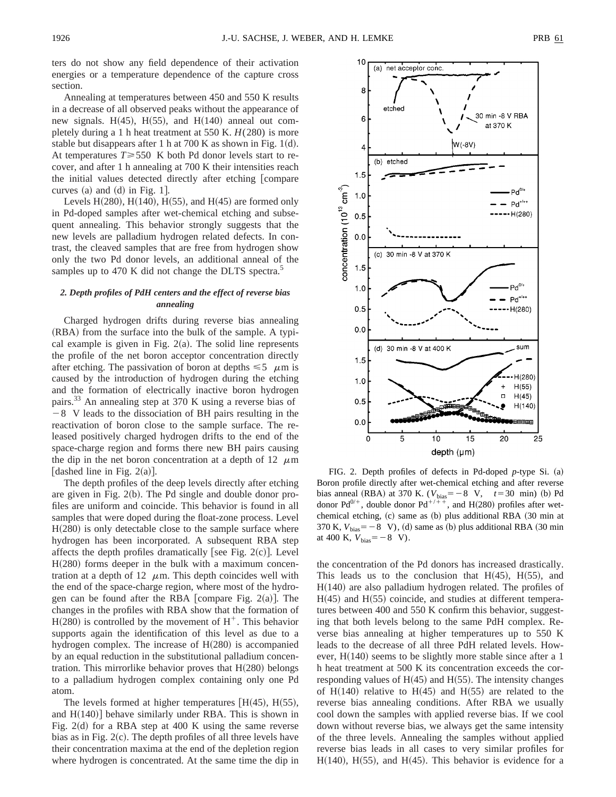ters do not show any field dependence of their activation energies or a temperature dependence of the capture cross section.

Annealing at temperatures between 450 and 550 K results in a decrease of all observed peaks without the appearance of new signals. H(45), H(55), and H(140) anneal out completely during a 1 h heat treatment at 550 K.  $H(280)$  is more stable but disappears after 1 h at 700 K as shown in Fig.  $1(d)$ . At temperatures  $T \ge 550$  K both Pd donor levels start to recover, and after 1 h annealing at 700 K their intensities reach the initial values detected directly after etching [compare curves  $(a)$  and  $(d)$  in Fig. 1.

Levels H $(280)$ , H $(140)$ , H $(55)$ , and H $(45)$  are formed only in Pd-doped samples after wet-chemical etching and subsequent annealing. This behavior strongly suggests that the new levels are palladium hydrogen related defects. In contrast, the cleaved samples that are free from hydrogen show only the two Pd donor levels, an additional anneal of the samples up to 470 K did not change the DLTS spectra.<sup>5</sup>

## *2. Depth profiles of PdH centers and the effect of reverse bias annealing*

Charged hydrogen drifts during reverse bias annealing  $(RBA)$  from the surface into the bulk of the sample. A typical example is given in Fig.  $2(a)$ . The solid line represents the profile of the net boron acceptor concentration directly after etching. The passivation of boron at depths  $\leq 5$   $\mu$ m is caused by the introduction of hydrogen during the etching and the formation of electrically inactive boron hydrogen pairs.<sup>33</sup> An annealing step at 370 K using a reverse bias of 28 V leads to the dissociation of BH pairs resulting in the reactivation of boron close to the sample surface. The released positively charged hydrogen drifts to the end of the space-charge region and forms there new BH pairs causing the dip in the net boron concentration at a depth of 12  $\mu$ m [dashed line in Fig.  $2(a)$ ].

The depth profiles of the deep levels directly after etching are given in Fig.  $2(b)$ . The Pd single and double donor profiles are uniform and coincide. This behavior is found in all samples that were doped during the float-zone process. Level  $H(280)$  is only detectable close to the sample surface where hydrogen has been incorporated. A subsequent RBA step affects the depth profiles dramatically [see Fig.  $2(c)$ ]. Level  $H(280)$  forms deeper in the bulk with a maximum concentration at a depth of 12  $\mu$ m. This depth coincides well with the end of the space-charge region, where most of the hydrogen can be found after the RBA  $[compare Fig. 2(a)].$  The changes in the profiles with RBA show that the formation of  $H(280)$  is controlled by the movement of  $H^+$ . This behavior supports again the identification of this level as due to a hydrogen complex. The increase of  $H(280)$  is accompanied by an equal reduction in the substitutional palladium concentration. This mirrorlike behavior proves that  $H(280)$  belongs to a palladium hydrogen complex containing only one Pd atom.

The levels formed at higher temperatures  $[H(45), H(55),$ and  $H(140)$  behave similarly under RBA. This is shown in Fig. 2 $(d)$  for a RBA step at 400 K using the same reverse bias as in Fig.  $2(c)$ . The depth profiles of all three levels have their concentration maxima at the end of the depletion region where hydrogen is concentrated. At the same time the dip in



FIG. 2. Depth profiles of defects in Pd-doped  $p$ -type Si. (a) Boron profile directly after wet-chemical etching and after reverse bias anneal (RBA) at 370 K. ( $V_{bias} = -8$  V,  $t = 30$  min) (b) Pd donor Pd<sup>0/+</sup>, double donor Pd<sup>+/++</sup>, and H(280) profiles after wetchemical etching,  $(c)$  same as  $(b)$  plus additional RBA  $(30 \text{ min at } 30)$ 370 K,  $V_{bias} = -8$  V), (d) same as (b) plus additional RBA (30 min at 400 K,  $V_{bias} = -8$  V).

the concentration of the Pd donors has increased drastically. This leads us to the conclusion that  $H(45)$ ,  $H(55)$ , and  $H(140)$  are also palladium hydrogen related. The profiles of  $H(45)$  and  $H(55)$  coincide, and studies at different temperatures between 400 and 550 K confirm this behavior, suggesting that both levels belong to the same PdH complex. Reverse bias annealing at higher temperatures up to 550 K leads to the decrease of all three PdH related levels. However,  $H(140)$  seems to be slightly more stable since after a 1 h heat treatment at 500 K its concentration exceeds the corresponding values of  $H(45)$  and  $H(55)$ . The intensity changes of H $(140)$  relative to H $(45)$  and H $(55)$  are related to the reverse bias annealing conditions. After RBA we usually cool down the samples with applied reverse bias. If we cool down without reverse bias, we always get the same intensity of the three levels. Annealing the samples without applied reverse bias leads in all cases to very similar profiles for  $H(140)$ ,  $H(55)$ , and  $H(45)$ . This behavior is evidence for a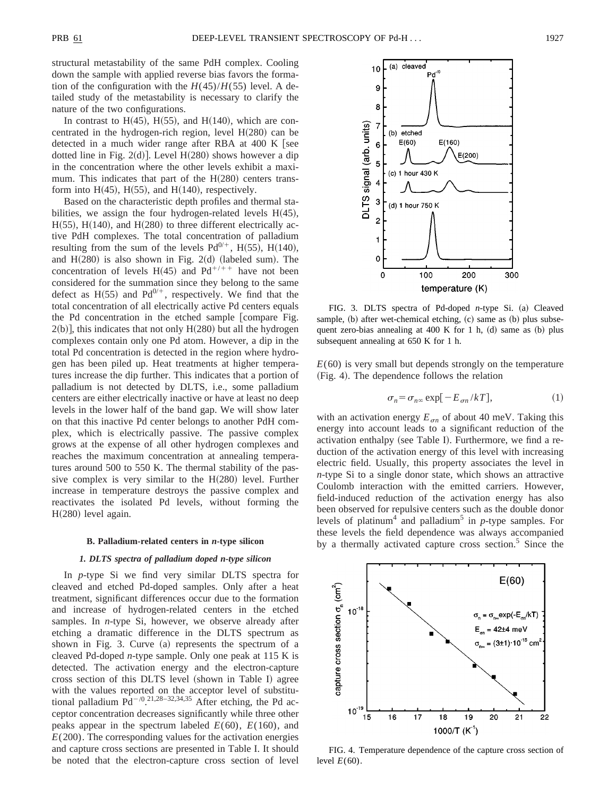structural metastability of the same PdH complex. Cooling down the sample with applied reverse bias favors the formation of the configuration with the  $H(45)/H(55)$  level. A detailed study of the metastability is necessary to clarify the nature of the two configurations.

In contrast to H $(45)$ , H $(55)$ , and H $(140)$ , which are concentrated in the hydrogen-rich region, level  $H(280)$  can be detected in a much wider range after RBA at  $400$  K [see dotted line in Fig. 2(d)]. Level  $H(280)$  shows however a dip in the concentration where the other levels exhibit a maximum. This indicates that part of the  $H(280)$  centers transform into  $H(45)$ ,  $H(55)$ , and  $H(140)$ , respectively.

Based on the characteristic depth profiles and thermal stabilities, we assign the four hydrogen-related levels  $H(45)$ ,  $H(55)$ ,  $H(140)$ , and  $H(280)$  to three different electrically active PdH complexes. The total concentration of palladium resulting from the sum of the levels  $Pd^{0/+}$ , H(55), H(140), and  $H(280)$  is also shown in Fig. 2(d) (labeled sum). The concentration of levels H(45) and Pd<sup>+/++</sup> have not been considered for the summation since they belong to the same defect as H $(55)$  and Pd<sup>0/+</sup>, respectively. We find that the total concentration of all electrically active Pd centers equals the Pd concentration in the etched sample [compare Fig.  $2(b)$ , this indicates that not only H $(280)$  but all the hydrogen complexes contain only one Pd atom. However, a dip in the total Pd concentration is detected in the region where hydrogen has been piled up. Heat treatments at higher temperatures increase the dip further. This indicates that a portion of palladium is not detected by DLTS, i.e., some palladium centers are either electrically inactive or have at least no deep levels in the lower half of the band gap. We will show later on that this inactive Pd center belongs to another PdH complex, which is electrically passive. The passive complex grows at the expense of all other hydrogen complexes and reaches the maximum concentration at annealing temperatures around 500 to 550 K. The thermal stability of the passive complex is very similar to the  $H(280)$  level. Further increase in temperature destroys the passive complex and reactivates the isolated Pd levels, without forming the  $H(280)$  level again.

#### **B. Palladium-related centers in** *n***-type silicon**

## *1. DLTS spectra of palladium doped n-type silicon*

In *p*-type Si we find very similar DLTS spectra for cleaved and etched Pd-doped samples. Only after a heat treatment, significant differences occur due to the formation and increase of hydrogen-related centers in the etched samples. In *n*-type Si, however, we observe already after etching a dramatic difference in the DLTS spectrum as shown in Fig. 3. Curve  $(a)$  represents the spectrum of a cleaved Pd-doped *n*-type sample. Only one peak at 115 K is detected. The activation energy and the electron-capture cross section of this DLTS level (shown in Table I) agree with the values reported on the acceptor level of substitutional palladium  $Pd^{-/0.21,28-32,34,35}$  After etching, the Pd acceptor concentration decreases significantly while three other peaks appear in the spectrum labeled  $E(60)$ ,  $E(160)$ , and  $E(200)$ . The corresponding values for the activation energies and capture cross sections are presented in Table I. It should be noted that the electron-capture cross section of level



FIG. 3. DLTS spectra of Pd-doped *n*-type Si. (a) Cleaved sample,  $(b)$  after wet-chemical etching,  $(c)$  same as  $(b)$  plus subsequent zero-bias annealing at 400 K for 1 h,  $(d)$  same as  $(b)$  plus subsequent annealing at 650 K for 1 h.

 $E(60)$  is very small but depends strongly on the temperature (Fig. 4). The dependence follows the relation

$$
\sigma_n = \sigma_{n\infty} \exp[-E_{\sigma n}/kT],\tag{1}
$$

with an activation energy  $E_{\sigma n}$  of about 40 meV. Taking this energy into account leads to a significant reduction of the activation enthalpy (see Table I). Furthermore, we find a reduction of the activation energy of this level with increasing electric field. Usually, this property associates the level in *n*-type Si to a single donor state, which shows an attractive Coulomb interaction with the emitted carriers. However, field-induced reduction of the activation energy has also been observed for repulsive centers such as the double donor levels of platinum<sup>4</sup> and palladium<sup>5</sup> in *p*-type samples. For these levels the field dependence was always accompanied by a thermally activated capture cross section.<sup>5</sup> Since the



FIG. 4. Temperature dependence of the capture cross section of level  $E(60)$ .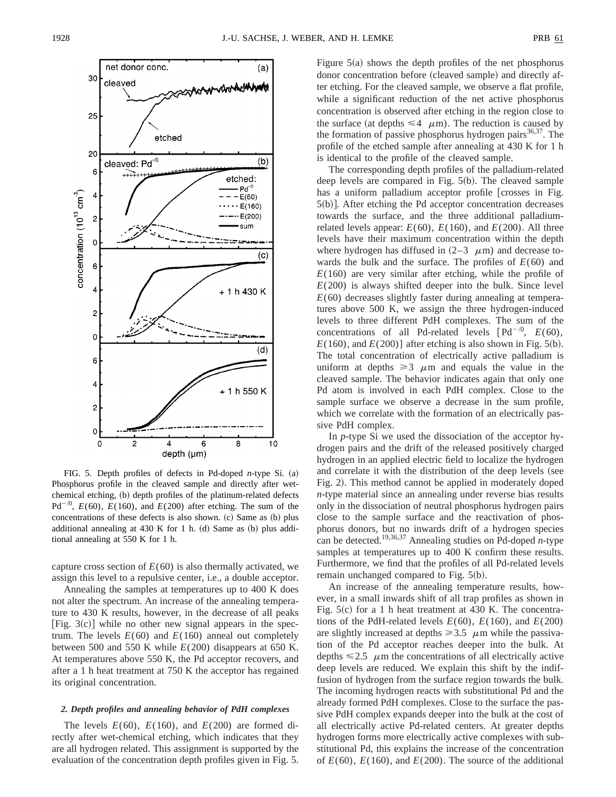

FIG. 5. Depth profiles of defects in Pd-doped  $n$ -type Si. (a) Phosphorus profile in the cleaved sample and directly after wetchemical etching, (b) depth profiles of the platinum-related defects  $Pd^{-/0}$ ,  $E(60)$ ,  $E(160)$ , and  $E(200)$  after etching. The sum of the concentrations of these defects is also shown.  $(c)$  Same as  $(b)$  plus additional annealing at  $430$  K for 1 h. (d) Same as (b) plus additional annealing at 550 K for 1 h.

capture cross section of  $E(60)$  is also thermally activated, we assign this level to a repulsive center, i.e., a double acceptor.

Annealing the samples at temperatures up to 400 K does not alter the spectrum. An increase of the annealing temperature to 430 K results, however, in the decrease of all peaks [Fig. 3(c)] while no other new signal appears in the spectrum. The levels  $E(60)$  and  $E(160)$  anneal out completely between 500 and 550 K while *E*(200) disappears at 650 K. At temperatures above 550 K, the Pd acceptor recovers, and after a 1 h heat treatment at 750 K the acceptor has regained its original concentration.

## *2. Depth profiles and annealing behavior of PdH complexes*

The levels  $E(60)$ ,  $E(160)$ , and  $E(200)$  are formed directly after wet-chemical etching, which indicates that they are all hydrogen related. This assignment is supported by the evaluation of the concentration depth profiles given in Fig. 5. Figure  $5(a)$  shows the depth profiles of the net phosphorus donor concentration before (cleaved sample) and directly after etching. For the cleaved sample, we observe a flat profile, while a significant reduction of the net active phosphorus concentration is observed after etching in the region close to the surface (at depths  $\leq 4$   $\mu$ m). The reduction is caused by the formation of passive phosphorus hydrogen pairs $36,37$ . The profile of the etched sample after annealing at 430 K for 1 h is identical to the profile of the cleaved sample.

The corresponding depth profiles of the palladium-related deep levels are compared in Fig.  $5(b)$ . The cleaved sample has a uniform palladium acceptor profile [crosses in Fig.  $5(b)$ ]. After etching the Pd acceptor concentration decreases towards the surface, and the three additional palladiumrelated levels appear:  $E(60)$ ,  $E(160)$ , and  $E(200)$ . All three levels have their maximum concentration within the depth where hydrogen has diffused in  $(2-3 \mu m)$  and decrease towards the bulk and the surface. The profiles of *E*(60) and *E*(160) are very similar after etching, while the profile of  $E(200)$  is always shifted deeper into the bulk. Since level *E*(60) decreases slightly faster during annealing at temperatures above 500 K, we assign the three hydrogen-induced levels to three different PdH complexes. The sum of the concentrations of all Pd-related levels  $[{\rm Pd}^{-/0}, E(60),$  $E(160)$ , and  $E(200)$ ] after etching is also shown in Fig. 5(b). The total concentration of electrically active palladium is uniform at depths  $\geq 3$   $\mu$ m and equals the value in the cleaved sample. The behavior indicates again that only one Pd atom is involved in each PdH complex. Close to the sample surface we observe a decrease in the sum profile, which we correlate with the formation of an electrically passive PdH complex.

In *p*-type Si we used the dissociation of the acceptor hydrogen pairs and the drift of the released positively charged hydrogen in an applied electric field to localize the hydrogen and correlate it with the distribution of the deep levels (see Fig. 2). This method cannot be applied in moderately doped *n*-type material since an annealing under reverse bias results only in the dissociation of neutral phosphorus hydrogen pairs close to the sample surface and the reactivation of phosphorus donors, but no inwards drift of a hydrogen species can be detected.19,36,37 Annealing studies on Pd-doped *n*-type samples at temperatures up to 400 K confirm these results. Furthermore, we find that the profiles of all Pd-related levels remain unchanged compared to Fig.  $5(b)$ .

An increase of the annealing temperature results, however, in a small inwards shift of all trap profiles as shown in Fig.  $5(c)$  for a 1 h heat treatment at 430 K. The concentrations of the PdH-related levels  $E(60)$ ,  $E(160)$ , and  $E(200)$ are slightly increased at depths  $\geq 3.5$   $\mu$ m while the passivation of the Pd acceptor reaches deeper into the bulk. At depths  $\leq 2.5$   $\mu$ m the concentrations of all electrically active deep levels are reduced. We explain this shift by the indiffusion of hydrogen from the surface region towards the bulk. The incoming hydrogen reacts with substitutional Pd and the already formed PdH complexes. Close to the surface the passive PdH complex expands deeper into the bulk at the cost of all electrically active Pd-related centers. At greater depths hydrogen forms more electrically active complexes with substitutional Pd, this explains the increase of the concentration of  $E(60)$ ,  $E(160)$ , and  $E(200)$ . The source of the additional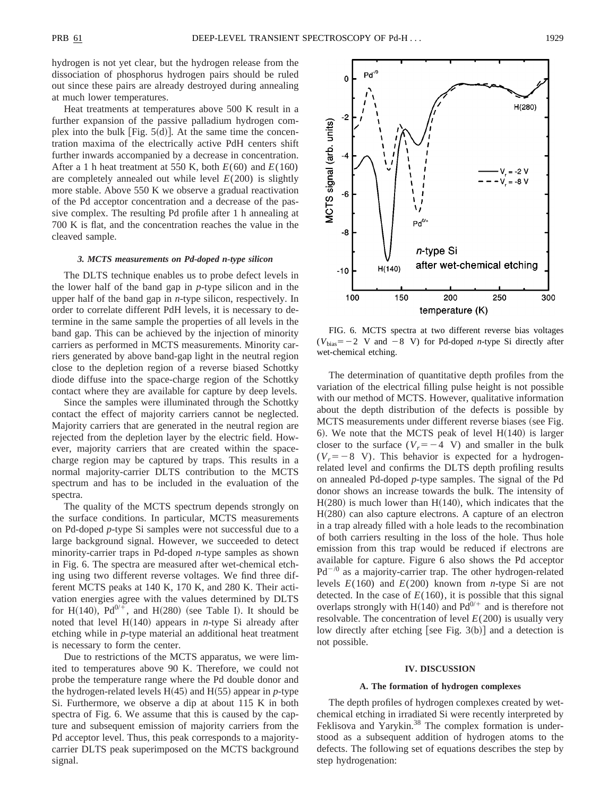hydrogen is not yet clear, but the hydrogen release from the dissociation of phosphorus hydrogen pairs should be ruled out since these pairs are already destroyed during annealing at much lower temperatures.

Heat treatments at temperatures above 500 K result in a further expansion of the passive palladium hydrogen complex into the bulk [Fig.  $5(d)$ ]. At the same time the concentration maxima of the electrically active PdH centers shift further inwards accompanied by a decrease in concentration. After a 1 h heat treatment at 550 K, both  $E(60)$  and  $E(160)$ are completely annealed out while level  $E(200)$  is slightly more stable. Above 550 K we observe a gradual reactivation of the Pd acceptor concentration and a decrease of the passive complex. The resulting Pd profile after 1 h annealing at 700 K is flat, and the concentration reaches the value in the cleaved sample.

#### *3. MCTS measurements on Pd-doped n-type silicon*

The DLTS technique enables us to probe defect levels in the lower half of the band gap in *p*-type silicon and in the upper half of the band gap in *n*-type silicon, respectively. In order to correlate different PdH levels, it is necessary to determine in the same sample the properties of all levels in the band gap. This can be achieved by the injection of minority carriers as performed in MCTS measurements. Minority carriers generated by above band-gap light in the neutral region close to the depletion region of a reverse biased Schottky diode diffuse into the space-charge region of the Schottky contact where they are available for capture by deep levels.

Since the samples were illuminated through the Schottky contact the effect of majority carriers cannot be neglected. Majority carriers that are generated in the neutral region are rejected from the depletion layer by the electric field. However, majority carriers that are created within the spacecharge region may be captured by traps. This results in a normal majority-carrier DLTS contribution to the MCTS spectrum and has to be included in the evaluation of the spectra.

The quality of the MCTS spectrum depends strongly on the surface conditions. In particular, MCTS measurements on Pd-doped *p*-type Si samples were not successful due to a large background signal. However, we succeeded to detect minority-carrier traps in Pd-doped *n*-type samples as shown in Fig. 6. The spectra are measured after wet-chemical etching using two different reverse voltages. We find three different MCTS peaks at 140 K, 170 K, and 280 K. Their activation energies agree with the values determined by DLTS for H $(140)$ ,  $Pd^{0/\frac{1}{r}}$ , and H $(280)$  (see Table I). It should be noted that level  $H(140)$  appears in *n*-type Si already after etching while in *p*-type material an additional heat treatment is necessary to form the center.

Due to restrictions of the MCTS apparatus, we were limited to temperatures above 90 K. Therefore, we could not probe the temperature range where the Pd double donor and the hydrogen-related levels  $H(45)$  and  $H(55)$  appear in *p*-type Si. Furthermore, we observe a dip at about 115 K in both spectra of Fig. 6. We assume that this is caused by the capture and subsequent emission of majority carriers from the Pd acceptor level. Thus, this peak corresponds to a majoritycarrier DLTS peak superimposed on the MCTS background signal.



FIG. 6. MCTS spectra at two different reverse bias voltages  $(V_{bias}=-2$  V and  $-8$  V) for Pd-doped *n*-type Si directly after wet-chemical etching.

The determination of quantitative depth profiles from the variation of the electrical filling pulse height is not possible with our method of MCTS. However, qualitative information about the depth distribution of the defects is possible by MCTS measurements under different reverse biases (see Fig. 6). We note that the MCTS peak of level  $H(140)$  is larger closer to the surface  $(V_r=-4 \text{ V})$  and smaller in the bulk  $(V_r = -8$  V). This behavior is expected for a hydrogenrelated level and confirms the DLTS depth profiling results on annealed Pd-doped *p*-type samples. The signal of the Pd donor shows an increase towards the bulk. The intensity of  $H(280)$  is much lower than  $H(140)$ , which indicates that the  $H(280)$  can also capture electrons. A capture of an electron in a trap already filled with a hole leads to the recombination of both carriers resulting in the loss of the hole. Thus hole emission from this trap would be reduced if electrons are available for capture. Figure 6 also shows the Pd acceptor  $Pd^{-0}$  as a majority-carrier trap. The other hydrogen-related levels *E*(160) and *E*(200) known from *n*-type Si are not detected. In the case of  $E(160)$ , it is possible that this signal overlaps strongly with H(140) and  $Pd^{0/+}$  and is therefore not resolvable. The concentration of level  $E(200)$  is usually very low directly after etching [see Fig.  $3(b)$ ] and a detection is not possible.

#### **IV. DISCUSSION**

### **A. The formation of hydrogen complexes**

The depth profiles of hydrogen complexes created by wetchemical etching in irradiated Si were recently interpreted by Feklisova and Yarykin.<sup>38</sup> The complex formation is understood as a subsequent addition of hydrogen atoms to the defects. The following set of equations describes the step by step hydrogenation: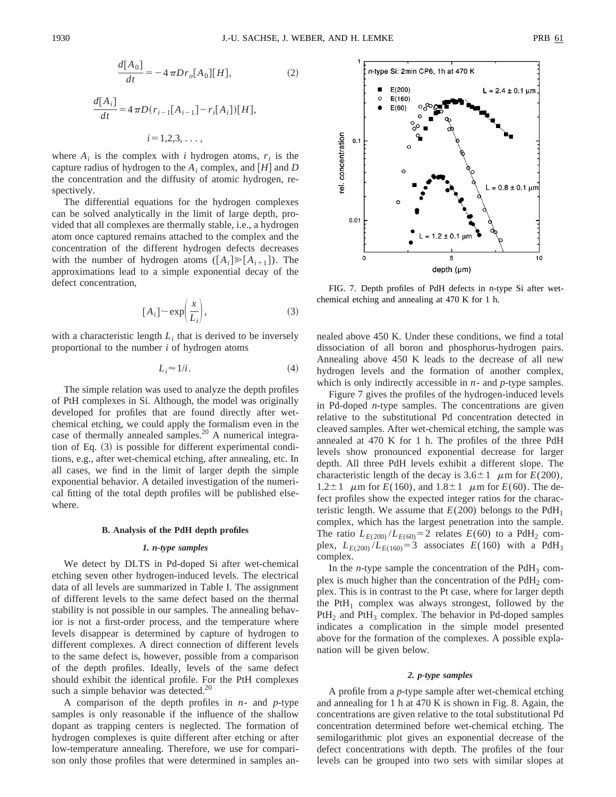$$
\frac{d[A_0]}{dt} = -4\pi D r_o[A_0][H],\tag{2}
$$

$$
\frac{d[A_i]}{dt} = 4 \pi D(r_{i-1}[A_{i-1}] - r_i[A_i])[H],
$$
  

$$
i = 1, 2, 3, ...,
$$

where  $A_i$  is the complex with *i* hydrogen atoms,  $r_i$  is the capture radius of hydrogen to the  $A_i$  complex, and  $[H]$  and  $D$ the concentration and the diffusity of atomic hydrogen, respectively.

The differential equations for the hydrogen complexes can be solved analytically in the limit of large depth, provided that all complexes are thermally stable, i.e., a hydrogen atom once captured remains attached to the complex and the concentration of the different hydrogen defects decreases with the number of hydrogen atoms  $([A_i] \geq [A_{i+1}])$ . The approximations lead to a simple exponential decay of the defect concentration,

$$
[A_i] \sim \exp\left(\frac{x}{L_i}\right),\tag{3}
$$

with a characteristic length  $L_i$  that is derived to be inversely proportional to the number *i* of hydrogen atoms

$$
L_i \approx 1/i. \tag{4}
$$

The simple relation was used to analyze the depth profiles of PtH complexes in Si. Although, the model was originally developed for profiles that are found directly after wetchemical etching, we could apply the formalism even in the case of thermally annealed samples.<sup>20</sup> A numerical integration of Eq.  $(3)$  is possible for different experimental conditions, e.g., after wet-chemical etching, after annealing, etc. In all cases, we find in the limit of larger depth the simple exponential behavior. A detailed investigation of the numerical fitting of the total depth profiles will be published elsewhere.

### **B. Analysis of the PdH depth profiles**

## *1. n-type samples*

We detect by DLTS in Pd-doped Si after wet-chemical etching seven other hydrogen-induced levels. The electrical data of all levels are summarized in Table I. The assignment of different levels to the same defect based on the thermal stability is not possible in our samples. The annealing behavior is not a first-order process, and the temperature where levels disappear is determined by capture of hydrogen to different complexes. A direct connection of different levels to the same defect is, however, possible from a comparison of the depth profiles. Ideally, levels of the same defect should exhibit the identical profile. For the PtH complexes such a simple behavior was detected.<sup>20</sup>

A comparison of the depth profiles in *n*- and *p*-type samples is only reasonable if the influence of the shallow dopant as trapping centers is neglected. The formation of hydrogen complexes is quite different after etching or after low-temperature annealing. Therefore, we use for comparison only those profiles that were determined in samples an-



FIG. 7. Depth profiles of PdH defects in *n*-type Si after wetchemical etching and annealing at 470 K for 1 h.

nealed above 450 K. Under these conditions, we find a total dissociation of all boron and phosphorus-hydrogen pairs. Annealing above 450 K leads to the decrease of all new hydrogen levels and the formation of another complex, which is only indirectly accessible in *n*- and *p*-type samples.

Figure 7 gives the profiles of the hydrogen-induced levels in Pd-doped *n*-type samples. The concentrations are given relative to the substitutional Pd concentration detected in cleaved samples. After wet-chemical etching, the sample was annealed at 470 K for 1 h. The profiles of the three PdH levels show pronounced exponential decrease for larger depth. All three PdH levels exhibit a different slope. The characteristic length of the decay is  $3.6 \pm 1$   $\mu$ m for *E*(200), 1.2 $\pm$ 1  $\mu$ m for *E*(160), and 1.8 $\pm$ 1  $\mu$ m for *E*(60). The defect profiles show the expected integer ratios for the characteristic length. We assume that  $E(200)$  belongs to the PdH<sub>1</sub> complex, which has the largest penetration into the sample. The ratio  $L_{E(200)}/L_{E(60)}=2$  relates  $E(60)$  to a PdH<sub>2</sub> complex,  $L_{E(200)}/L_{E(160)}=3$  associates  $E(160)$  with a PdH<sub>3</sub> complex.

In the *n*-type sample the concentration of the  $PdH_3$  complex is much higher than the concentration of the  $PdH_2$  complex. This is in contrast to the Pt case, where for larger depth the PtH<sub>1</sub> complex was always strongest, followed by the  $PtH<sub>2</sub>$  and  $PtH<sub>3</sub>$  complex. The behavior in Pd-doped samples indicates a complication in the simple model presented above for the formation of the complexes. A possible explanation will be given below.

## *2. p-type samples*

A profile from a *p*-type sample after wet-chemical etching and annealing for 1 h at 470 K is shown in Fig. 8. Again, the concentrations are given relative to the total substitutional Pd concentration determined before wet-chemical etching. The semilogarithmic plot gives an exponential decrease of the defect concentrations with depth. The profiles of the four levels can be grouped into two sets with similar slopes at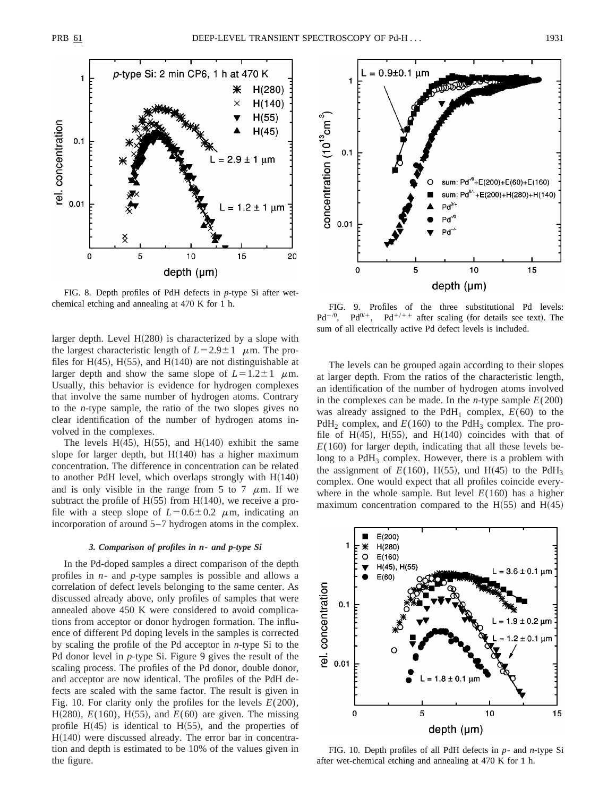

FIG. 8. Depth profiles of PdH defects in *p*-type Si after wetchemical etching and annealing at 470 K for 1 h. FIG. 9. Profiles of the three substitutional Pd levels:

larger depth. Level  $H(280)$  is characterized by a slope with the largest characteristic length of  $L=2.9\pm1$   $\mu$ m. The profiles for H $(45)$ , H $(55)$ , and H $(140)$  are not distinguishable at larger depth and show the same slope of  $L=1.2\pm1$   $\mu$ m. Usually, this behavior is evidence for hydrogen complexes that involve the same number of hydrogen atoms. Contrary to the *n*-type sample, the ratio of the two slopes gives no clear identification of the number of hydrogen atoms involved in the complexes.

The levels H $(45)$ , H $(55)$ , and H $(140)$  exhibit the same slope for larger depth, but  $H(140)$  has a higher maximum concentration. The difference in concentration can be related to another PdH level, which overlaps strongly with  $H(140)$ and is only visible in the range from 5 to 7  $\mu$ m. If we subtract the profile of  $H(55)$  from  $H(140)$ , we receive a profile with a steep slope of  $L=0.6\pm0.2$   $\mu$ m, indicating an incorporation of around 5–7 hydrogen atoms in the complex.

#### *3. Comparison of profiles in n***-** *and p-type Si*

In the Pd-doped samples a direct comparison of the depth profiles in *n*- and *p*-type samples is possible and allows a correlation of defect levels belonging to the same center. As discussed already above, only profiles of samples that were annealed above 450 K were considered to avoid complications from acceptor or donor hydrogen formation. The influence of different Pd doping levels in the samples is corrected by scaling the profile of the Pd acceptor in *n*-type Si to the Pd donor level in *p*-type Si. Figure 9 gives the result of the scaling process. The profiles of the Pd donor, double donor, and acceptor are now identical. The profiles of the PdH defects are scaled with the same factor. The result is given in Fig. 10. For clarity only the profiles for the levels *E*(200), H $(280)$ , *E* $(160)$ , H $(55)$ , and *E* $(60)$  are given. The missing profile  $H(45)$  is identical to  $H(55)$ , and the properties of  $H(140)$  were discussed already. The error bar in concentration and depth is estimated to be 10% of the values given in the figure.



 $Pd^{-/0}$ ,  $Pd^{0/+}$ ,  $Pd^{+/++}$  after scaling (for details see text). The sum of all electrically active Pd defect levels is included.

The levels can be grouped again according to their slopes at larger depth. From the ratios of the characteristic length, an identification of the number of hydrogen atoms involved in the complexes can be made. In the *n*-type sample  $E(200)$ was already assigned to the PdH<sub>1</sub> complex,  $E(60)$  to the PdH<sub>2</sub> complex, and  $E(160)$  to the PdH<sub>3</sub> complex. The profile of H $(45)$ , H $(55)$ , and H $(140)$  coincides with that of  $E(160)$  for larger depth, indicating that all these levels belong to a  $PdH_3$  complex. However, there is a problem with the assignment of  $E(160)$ , H(55), und H(45) to the PdH<sub>3</sub> complex. One would expect that all profiles coincide everywhere in the whole sample. But level  $E(160)$  has a higher maximum concentration compared to the  $H(55)$  and  $H(45)$ 



FIG. 10. Depth profiles of all PdH defects in *p*- and *n*-type Si after wet-chemical etching and annealing at 470 K for 1 h.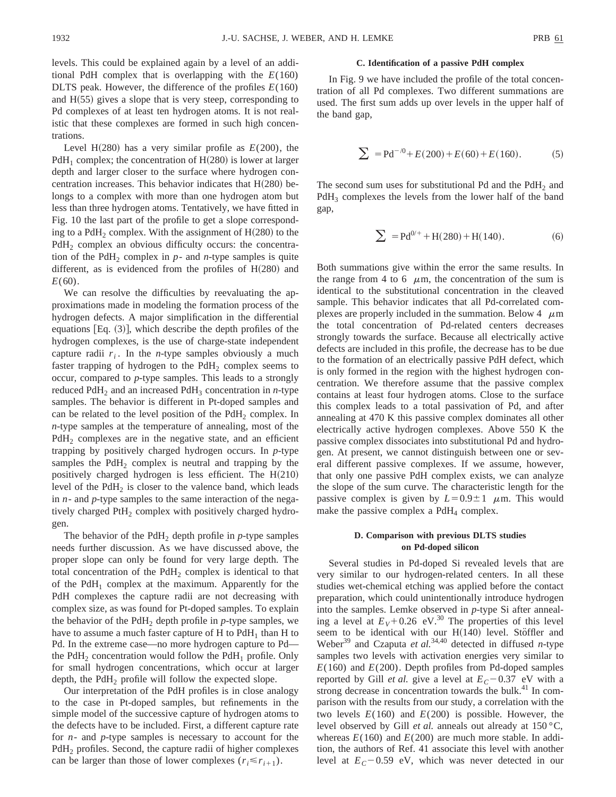levels. This could be explained again by a level of an additional PdH complex that is overlapping with the *E*(160) DLTS peak. However, the difference of the profiles *E*(160) and  $H(55)$  gives a slope that is very steep, corresponding to Pd complexes of at least ten hydrogen atoms. It is not realistic that these complexes are formed in such high concentrations.

Level H $(280)$  has a very similar profile as  $E(200)$ , the PdH<sub>1</sub> complex; the concentration of H $(280)$  is lower at larger depth and larger closer to the surface where hydrogen concentration increases. This behavior indicates that  $H(280)$  belongs to a complex with more than one hydrogen atom but less than three hydrogen atoms. Tentatively, we have fitted in Fig. 10 the last part of the profile to get a slope corresponding to a PdH<sub>2</sub> complex. With the assignment of  $H(280)$  to the PdH<sub>2</sub> complex an obvious difficulty occurs: the concentration of the PdH<sub>2</sub> complex in  $p$ - and *n*-type samples is quite different, as is evidenced from the profiles of  $H(280)$  and *E*(60).

We can resolve the difficulties by reevaluating the approximations made in modeling the formation process of the hydrogen defects. A major simplification in the differential equations  $Eq. (3)$ , which describe the depth profiles of the hydrogen complexes, is the use of charge-state independent capture radii  $r_i$ . In the *n*-type samples obviously a much faster trapping of hydrogen to the  $PdH_2$  complex seems to occur, compared to *p*-type samples. This leads to a strongly reduced PdH<sub>2</sub> and an increased PdH<sub>3</sub> concentration in *n*-type samples. The behavior is different in Pt-doped samples and can be related to the level position of the PdH<sub>2</sub> complex. In *n*-type samples at the temperature of annealing, most of the  $PdH<sub>2</sub>$  complexes are in the negative state, and an efficient trapping by positively charged hydrogen occurs. In *p*-type samples the  $PdH_2$  complex is neutral and trapping by the positively charged hydrogen is less efficient. The  $H(210)$ level of the  $PdH_2$  is closer to the valence band, which leads in *n*- and *p*-type samples to the same interaction of the negatively charged  $PH<sub>2</sub>$  complex with positively charged hydrogen.

The behavior of the PdH<sub>2</sub> depth profile in  $p$ -type samples needs further discussion. As we have discussed above, the proper slope can only be found for very large depth. The total concentration of the  $PdH_2$  complex is identical to that of the  $PdH_1$  complex at the maximum. Apparently for the PdH complexes the capture radii are not decreasing with complex size, as was found for Pt-doped samples. To explain the behavior of the PdH<sub>2</sub> depth profile in  $p$ -type samples, we have to assume a much faster capture of  $H$  to  $PdH<sub>1</sub>$  than  $H$  to Pd. In the extreme case—no more hydrogen capture to Pd the PdH<sub>2</sub> concentration would follow the PdH<sub>1</sub> profile. Only for small hydrogen concentrations, which occur at larger depth, the  $PdH_2$  profile will follow the expected slope.

Our interpretation of the PdH profiles is in close analogy to the case in Pt-doped samples, but refinements in the simple model of the successive capture of hydrogen atoms to the defects have to be included. First, a different capture rate for *n*- and *p*-type samples is necessary to account for the PdH<sub>2</sub> profiles. Second, the capture radii of higher complexes can be larger than those of lower complexes  $(r_i \le r_{i+1})$ .

## **C. Identification of a passive PdH complex**

In Fig. 9 we have included the profile of the total concentration of all Pd complexes. Two different summations are used. The first sum adds up over levels in the upper half of the band gap,

$$
\sum = P d^{-/0} + E(200) + E(60) + E(160). \tag{5}
$$

The second sum uses for substitutional Pd and the PdH<sub>2</sub> and  $PdH_3$  complexes the levels from the lower half of the band gap,

$$
\sum_{h=1}^{\infty} P_0 = P_0^{0/2} + H(280) + H(140). \tag{6}
$$

Both summations give within the error the same results. In the range from 4 to 6  $\mu$ m, the concentration of the sum is identical to the substitutional concentration in the cleaved sample. This behavior indicates that all Pd-correlated complexes are properly included in the summation. Below  $4 \mu m$ the total concentration of Pd-related centers decreases strongly towards the surface. Because all electrically active defects are included in this profile, the decrease has to be due to the formation of an electrically passive PdH defect, which is only formed in the region with the highest hydrogen concentration. We therefore assume that the passive complex contains at least four hydrogen atoms. Close to the surface this complex leads to a total passivation of Pd, and after annealing at 470 K this passive complex dominates all other electrically active hydrogen complexes. Above 550 K the passive complex dissociates into substitutional Pd and hydrogen. At present, we cannot distinguish between one or several different passive complexes. If we assume, however, that only one passive PdH complex exists, we can analyze the slope of the sum curve. The characteristic length for the passive complex is given by  $L=0.9\pm1$   $\mu$ m. This would make the passive complex a  $PdH_4$  complex.

## **D. Comparison with previous DLTS studies on Pd-doped silicon**

Several studies in Pd-doped Si revealed levels that are very similar to our hydrogen-related centers. In all these studies wet-chemical etching was applied before the contact preparation, which could unintentionally introduce hydrogen into the samples. Lemke observed in *p*-type Si after annealing a level at  $E_V + 0.26$  eV.<sup>30</sup> The properties of this level seem to be identical with our  $H(140)$  level. Stöffler and Weber<sup>39</sup> and Czaputa *et al.*<sup>34,40</sup> detected in diffused *n*-type samples two levels with activation energies very similar to  $E(160)$  and  $E(200)$ . Depth profiles from Pd-doped samples reported by Gill *et al.* give a level at  $E_C$  – 0.37 eV with a strong decrease in concentration towards the bulk.<sup>41</sup> In comparison with the results from our study, a correlation with the two levels  $E(160)$  and  $E(200)$  is possible. However, the level observed by Gill *et al.* anneals out already at 150 °C, whereas  $E(160)$  and  $E(200)$  are much more stable. In addition, the authors of Ref. 41 associate this level with another level at  $E_C$ -0.59 eV, which was never detected in our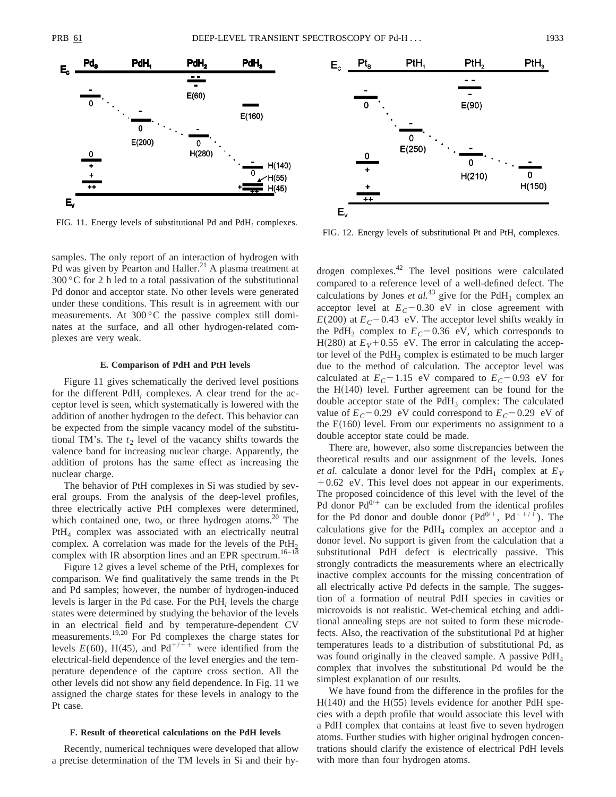

FIG. 11. Energy levels of substitutional Pd and PdH*<sup>i</sup>* complexes.

samples. The only report of an interaction of hydrogen with Pd was given by Pearton and Haller.<sup>21</sup> A plasma treatment at 300 °C for 2 h led to a total passivation of the substitutional Pd donor and acceptor state. No other levels were generated under these conditions. This result is in agreement with our measurements. At 300 °C the passive complex still dominates at the surface, and all other hydrogen-related complexes are very weak.

### **E. Comparison of PdH and PtH levels**

Figure 11 gives schematically the derived level positions for the different PdH*<sup>i</sup>* complexes. A clear trend for the acceptor level is seen, which systematically is lowered with the addition of another hydrogen to the defect. This behavior can be expected from the simple vacancy model of the substitutional TM's. The  $t_2$  level of the vacancy shifts towards the valence band for increasing nuclear charge. Apparently, the addition of protons has the same effect as increasing the nuclear charge.

The behavior of PtH complexes in Si was studied by several groups. From the analysis of the deep-level profiles, three electrically active PtH complexes were determined, which contained one, two, or three hydrogen atoms.<sup>20</sup> The PtH4 complex was associated with an electrically neutral complex. A correlation was made for the levels of the  $PtH<sub>2</sub>$ complex with IR absorption lines and an EPR spectrum.<sup>16-18</sup>

Figure 12 gives a level scheme of the PtH*<sup>i</sup>* complexes for comparison. We find qualitatively the same trends in the Pt and Pd samples; however, the number of hydrogen-induced levels is larger in the Pd case. For the PtH*<sup>i</sup>* levels the charge states were determined by studying the behavior of the levels in an electrical field and by temperature-dependent CV measurements.19,20 For Pd complexes the charge states for levels  $E(60)$ , H(45), and Pd<sup>+/++</sup> were identified from the electrical-field dependence of the level energies and the temperature dependence of the capture cross section. All the other levels did not show any field dependence. In Fig. 11 we assigned the charge states for these levels in analogy to the Pt case.

## **F. Result of theoretical calculations on the PdH levels**

Recently, numerical techniques were developed that allow a precise determination of the TM levels in Si and their hy-



FIG. 12. Energy levels of substitutional Pt and PtH*<sup>i</sup>* complexes.

drogen complexes.42 The level positions were calculated compared to a reference level of a well-defined defect. The calculations by Jones *et al.*<sup>43</sup> give for the PdH<sub>1</sub> complex an acceptor level at  $E_C$ –0.30 eV in close agreement with  $E(200)$  at  $E_C$  – 0.43 eV. The acceptor level shifts weakly in the PdH<sub>2</sub> complex to  $E_C$  – 0.36 eV, which corresponds to H(280) at  $E_V$ +0.55 eV. The error in calculating the acceptor level of the  $PdH_3$  complex is estimated to be much larger due to the method of calculation. The acceptor level was calculated at  $E_C$ -1.15 eV compared to  $E_C$ -0.93 eV for the  $H(140)$  level. Further agreement can be found for the double acceptor state of the  $PdH_3$  complex: The calculated value of  $E_C$  – 0.29 eV could correspond to  $E_C$  – 0.29 eV of the  $E(160)$  level. From our experiments no assignment to a double acceptor state could be made.

There are, however, also some discrepancies between the theoretical results and our assignment of the levels. Jones *et al.* calculate a donor level for the PdH<sub>1</sub> complex at  $E_V$  $+0.62$  eV. This level does not appear in our experiments. The proposed coincidence of this level with the level of the Pd donor  $Pd^{0/+}$  can be excluded from the identical profiles for the Pd donor and double donor  $(Pd^{0/+}, Pd^{++/+})$ . The calculations give for the  $PdH_4$  complex an acceptor and a donor level. No support is given from the calculation that a substitutional PdH defect is electrically passive. This strongly contradicts the measurements where an electrically inactive complex accounts for the missing concentration of all electrically active Pd defects in the sample. The suggestion of a formation of neutral PdH species in cavities or microvoids is not realistic. Wet-chemical etching and additional annealing steps are not suited to form these microdefects. Also, the reactivation of the substitutional Pd at higher temperatures leads to a distribution of substitutional Pd, as was found originally in the cleaved sample. A passive PdH<sub>4</sub> complex that involves the substitutional Pd would be the simplest explanation of our results.

We have found from the difference in the profiles for the  $H(140)$  and the  $H(55)$  levels evidence for another PdH species with a depth profile that would associate this level with a PdH complex that contains at least five to seven hydrogen atoms. Further studies with higher original hydrogen concentrations should clarify the existence of electrical PdH levels with more than four hydrogen atoms.